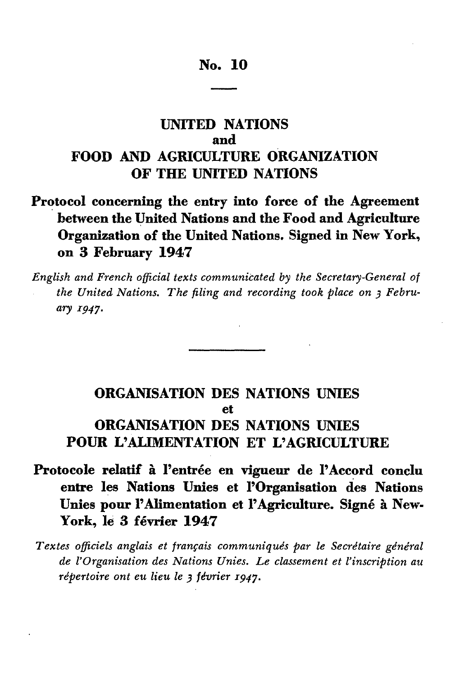# No. **10**

# UNITED NATIONS and FOOD AND AGRICULTURE ORGANIZATION OF THE UNITED NATIONS

# **Protocol concerning the entry into force of the Agreement between the United Nations and the Food and Agriculture Organization of the United Nations. Signed in New York, on 3 February 1947**

*English and French official texts communicated by the Secretary-General of the United Nations. The filing and recording took place on 3 February*

# ORGANISATION DES NATIONS UNIES **et** ORGANISATION DES NATIONS UNIES POUR L'ALIMENTATION ET L'AGRICULTURE

**Protocole relatif à l'entrée en vigueur de l'Accord conclu entre les Nations Unies et l'Organisation des Nations Unies pour l'Alimentation et l'Agriculture. Signé à New-York, le 3 février 1947**

*Textes officiels anglais et français communiqués par le Secrétaire général de l'Organisation des Nations Unies. Le classement et l'inscription au répertoire ont eu lieu le 3 février 1947.*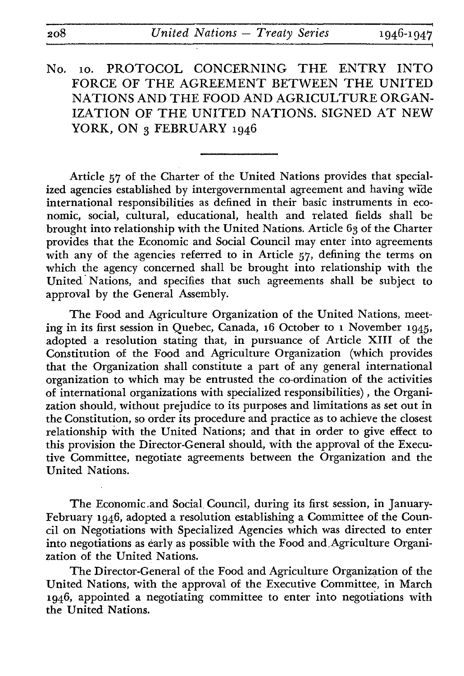No. 10. PROTOCOL CONCERNING THE ENTRY INTO FORCE OF THE AGREEMENT BETWEEN THE UNITED NATIONS AND THE FOOD AND AGRICULTURE ORGAN IZATION OF THE UNITED NATIONS. SIGNED AT NEW YORK, ON 3 FEBRUARY 1946

Article 57 of the Charter of the United Nations provides that special ized agencies established by intergovernmental agreement and having wide international responsibilities as defined in their basic instruments in eco nomic, social, cultural, educational, health and related fields shall be brought into relationship with the United Nations. Article 63 of the Charter provides that the Economic and Social Council may enter into agreements with any of the agencies referred to in Article  $57$ , defining the terms on which the agency concerned shall be brought into relationship with the United Nations, and specifies that such agreements shall be subject to approval by the General Assembly.

The Food and Agriculture Organization of the United Nations, meet ing in its first session in Quebec, Canada, 16 October to i November 1945, adopted a resolution stating that, in pursuance of Article XIII of the Constitution of the Food and Agriculture Organization (which provides that the Organization shall constitute a part of any general international organization to which may be entrusted the co-ordination of the activities of international organizations with specialized responsibilities), the Organi zation should, without prejudice to its purposes and limitations as set out in the Constitution, so order its procedure and practice as to achieve the closest relationship with the United Nations; and that in order to give effect to this provision the Director-General should, with the approval of the Execu tive Committee, negotiate agreements between the Organization and the United Nations.

The Economic.and Social Council, during its first session, in January-February 1946, adopted a resolution establishing a Committee of the Coun cil on Negotiations with Specialized Agencies which was directed to enter into negotiations as early as possible with the Food and.Agriculture Organi zation of the United Nations.

The Director-General of the Food and Agriculture Organization of the United Nations, with the approval of the Executive Committee, in March 1946, appointed a negotiating committee to enter into negotiations with the United Nations.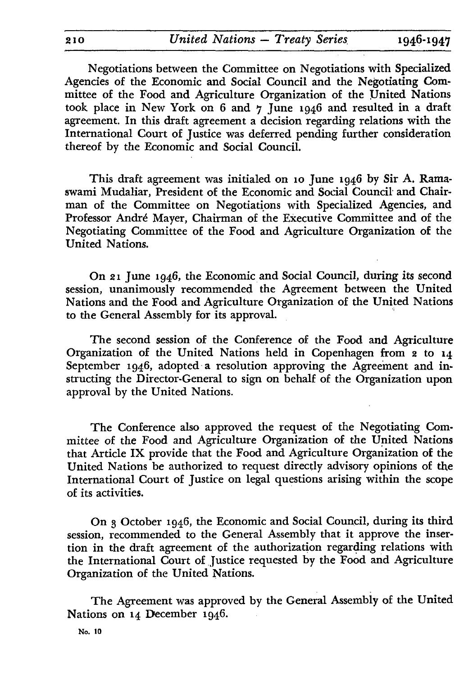Negotiations between the Committee on Negotiations with Specialized Agencies of the Economic and Social Council and the Negotiating Com mittee of the Food and Agriculture Organization of the United Nations took place in New York on 6 and  $\gamma$  June 1946 and resulted in a draft agreement. In this draft agreement a decision regarding relations with the International Court of Justice was deferred pending further consideration thereof by the Economic and Social Council.

This draft agreement was initialed on 10 June 1946 by Sir A. Ramaswami Mudaliar, President of the Economic and Social Council and Chair man of the Committee on Negotiations with Specialized Agencies, and Professor André Mayer, Chairman of the Executive Committee and of the Negotiating Committee of the Food and Agriculture Organization of the United Nations.

On 21 June 1946, the Economic and Social Council, during its second session, unanimously recommended the Agreement between the United Nations and the Food and Agriculture Organization of the United Nations to the General Assembly for its approval.

The second session of the Conference of the Food and Agriculture Organization of the United Nations held in Copenhagen from 2 to 14 September 1946, adopted a resolution approving the Agreement and instructing the Director-General to sign on behalf of the Organization upon approval by the United Nations.

The Conference also approved the request of the Negotiating Com mittee of the Food and Agriculture Organization of the United Nations that Article IX provide that the Food and Agriculture Organization of the United Nations be authorized to request directly advisory opinions of the International Court of Justice on legal questions arising within the scope of its activities.

On 3 October 1946, the Economic and Social Council, during its third session, recommended to the General Assembly that it approve the inser tion in the draft agreement of the authorization regarding relations with the International Court of Justice requested by the Food and Agriculture Organization of the United Nations.

The Agreement was approved by the General Assembly of the United Nations on 14 December 1946.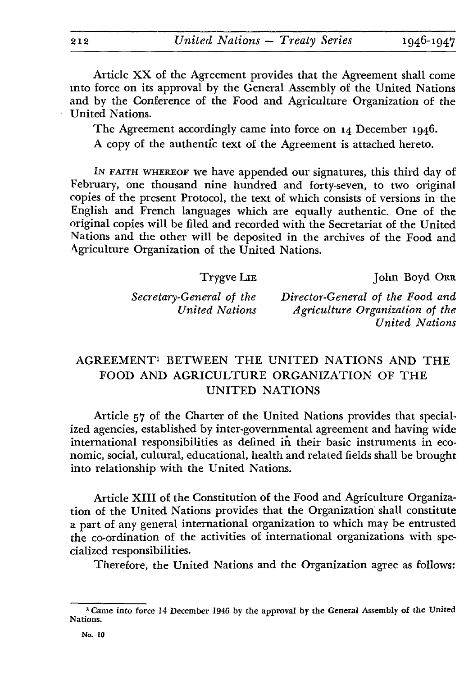Article **XX** of the Agreement provides that the Agreement shall come into force on its approval by the General Assembly of the United Nations and by the Conference of the Food and Agriculture Organization of the United Nations.

The Agreement accordingly came into force on 14 December 1946.

A copy of the authentic text of the Agreement is attached hereto.

IN FAITH WHEREOF we have appended our signatures, this third day of February, one thousand nine hundred and forty-seven, to two original copies of the present Protocol, the text of which consists of versions in the English and French languages which are equally authentic. One of the original copies will be filed and recorded with the Secretariat of the United Nations and the other will be deposited in the archives of the Food and Agriculture Organization of the United Nations.

| $\mathbf{r}$<br>.,<br>т, | ٠ |
|--------------------------|---|
|--------------------------|---|

John Boyd ORR

*Secretary-General of the Director-General of the Food and United Nations Agriculture Organization of the United Nations*

# AGREEMENT1 BETWEEN THE UNITED NATIONS AND THE FOOD AND AGRICULTURE ORGANIZATION OF THE UNITED NATIONS

Article 57 of the Charter of the United Nations provides that special ized agencies, established by inter-governmental agreement and having wide international responsibilities as defined in their basic instruments in eco nomic, social, cultural, educational, health and related fields shall be brought into relationship with the United Nations.

Article XIII of the Constitution of the Food and Agriculture Organiza tion of the United Nations provides that the Organization shall constitute a part of any general international organization to which may be entrusted the co-ordination of the activities of international organizations with spe cialized responsibilities.

Therefore, the United Nations and the Organization agree as follows:

<sup>&</sup>lt;sup>1</sup> Came into force 14 December 1946 by the approval by the General Assembly of the United Nations.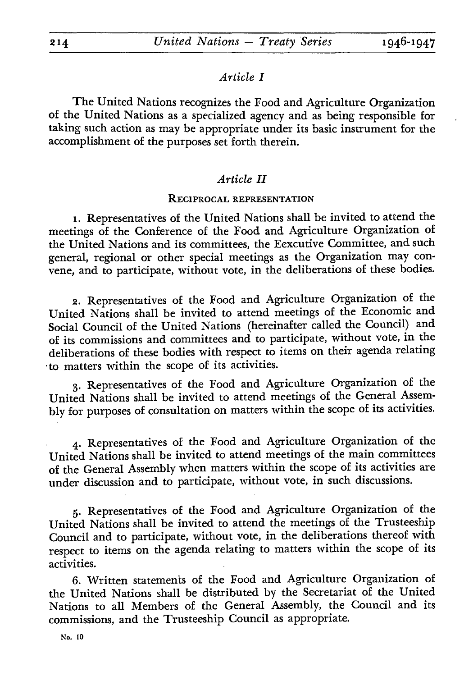## *Article I*

The United Nations recognizes the Food and Agriculture Organization of the United Nations as a specialized agency and as being responsible for taking such action as may be appropriate under its basic instrument for the accomplishment of the purposes set forth therein.

## *Article II*

#### RECIPROCAL REPRESENTATION

1. Representatives of the United Nations shall be invited to attend the meetings of the Conference of the Food and Agriculture Organization of the United Nations and its committees, the Eexcutive Committee, and such general, regional or other special meetings as the Organization may con vene, and to participate, without vote, in the deliberations of these bodies.

2. Representatives of the Food and Agriculture Organization of the United Nations shall be invited to attend meetings of the Economic and Social Council of the United Nations (hereinafter called the Council) and of its commissions and committees and to participate, without vote, in the deliberations of these bodies with respect to items on their agenda relating to matters within the scope of its activities.

3. Representatives of the Food and Agriculture Organization of the United Nations shall be invited to attend meetings of the General Assem bly for purposes of consultation on matters within the scope of its activities.

4. Representatives of the Food and Agriculture Organization of the United Nations shall be invited to attend meetings of the main committees of the General Assembly when matters within the scope of its activities are under discussion and to participate, without vote, in such discussions.

5. Representatives of the Food and Agriculture Organization of the United Nations shall be invited to attend the meetings of the Trusteeship Council and to participate, without vote, in the deliberations thereof with respect to items on the agenda relating to matters within the scope of its activities.

6. Written statements of the Food and Agriculture Organization of the United Nations shall be distributed by the Secretariat of the United Nations to all Members of the General Assembly, the Council and its commissions, and the Trusteeship Council as appropriate.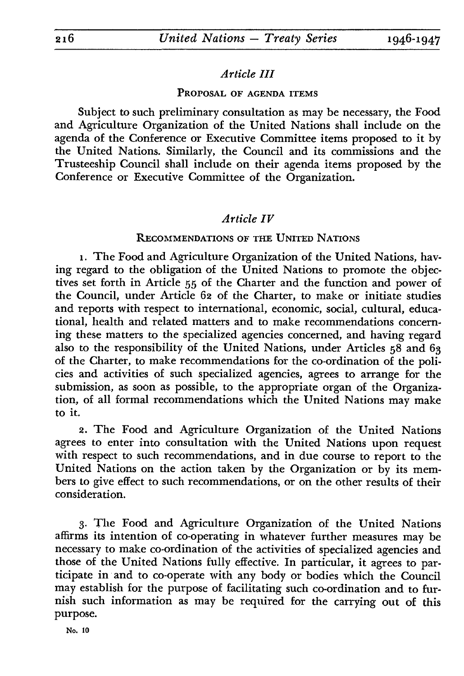## *Article HI*

## PROPOSAL OF AGENDA ITEMS

Subject to such preliminary consultation as may be necessary, the Food and Agriculture Organization of the United Nations shall include on the agenda of the Conference or Executive Committee items proposed to it by the United Nations. Similarly, the Council and its commissions and the Trusteeship Council shall include on their agenda items proposed by the Conference or Executive Committee of the Organization.

### *Article IV*

## RECOMMENDATIONS OF THE UNITED NATIONS

1. The Food and Agriculture Organization of the United Nations, hav ing regard to the obligation of the United Nations to promote the objec tives set forth in Article 55 of the Charter and the function and power of the Council, under Article 62 of the Charter, to make or initiate studies and reports with respect to international, economic, social, cultural, educa tional, health and related matters and to make recommendations concern ing these matters to the specialized agencies concerned, and having regard also to the responsibility of the United Nations, under Articles 58 and 63 of the Charter, to make recommendations for the co-ordination of the poli cies and activities of such specialized agencies, agrees to arrange for the submission, as soon as possible, to the appropriate organ of the Organization, of all formal recommendations which the United Nations may make to it.

2. The Food and Agriculture Organization of the United Nations agrees to enter into consultation with the United Nations upon request with respect to such recommendations, and in due course to report to the United Nations on the action taken by the Organization or by its mem bers to give effect to such recommendations, or on the other results of their consideration.

3. The Food and Agriculture Organization of the United Nations affirms its intention of co-operating in whatever further measures may be necessary to make co-ordination of the activities of specialized agencies and those of the United Nations fully effective. In particular, it agrees to participate in and to co-operate with any body or bodies which the Council may establish for the purpose of facilitating such co-ordination and to fur nish such information as may be required for the carrying out of this purpose.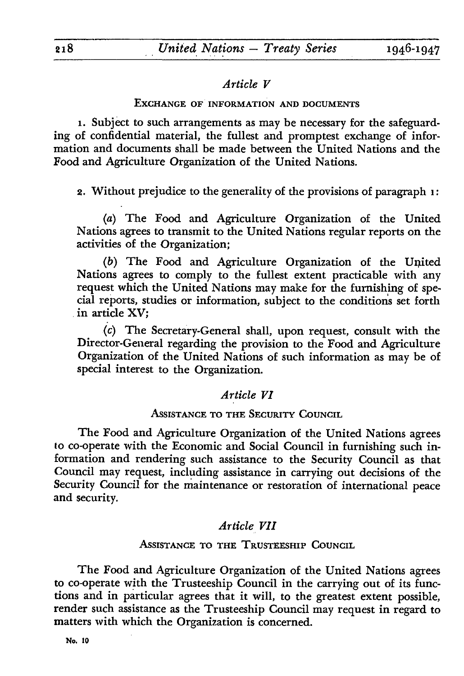#### *Article V*

#### EXCHANGE OF INFORMATION AND DOCUMENTS

1. Subject to such arrangements as may be necessary for the safeguard ing of confidential material, the fullest and promptest exchange of infor mation and documents shall be made between the United Nations and the Food and Agriculture Organization of the United Nations.

2. Without prejudice to the generality of the provisions of paragraph 1:

(a) The Food and Agriculture Organization of the United Nations agrees to transmit to the United Nations regular reports on the activities of the Organization;

(6) The Food and Agriculture Organization of the United Nations agrees to comply to the fullest extent practicable with any request which the United Nations may make for the furnishing of spe cial reports, studies or information, subject to the conditions set forth in article XV;

(c) The Secretary-General shall, upon request, consult with the Director-General regarding the provision to the Food and Agriculture Organization of the United Nations of such information as may be of special interest to the Organization.

#### *Article VI*

### ASSISTANCE TO THE SECURITY COUNCIL

The Food and Agriculture Organization of the United Nations agrees to co-operate with the Economic and Social Council in furnishing such in formation and rendering such assistance to the Security Council as that Council may request, including assistance in carrying out decisions of the Security Council for the maintenance or restoration of international peace and security.

## *Article VII*

#### ASSISTANCE TO THE TRUSTEESHIP COUNCIL

The Food and Agriculture Organization of the United Nations agrees to co-operate with the Trusteeship Council in the carrying out of its func tions and in particular agrees that it will, to the greatest extent possible, render such assistance as the Trusteeship Council may request in regard to matters with which the Organization is concerned.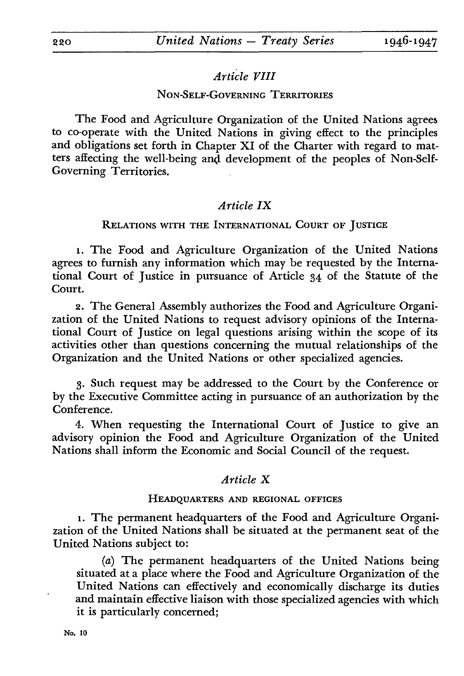# *Article VIII*

## NON-SELF-GOVERNING TERRITORIES

The Food and Agriculture Organization of the United Nations agrees to co-operate with the United Nations in giving effect to the principles and obligations set forth in Chapter XI of the Charter with regard to mat ters affecting the well-being and development of the peoples of Non-Self-Governing Territories.

## *Article IX*

## RELATIONS WITH THE INTERNATIONAL COURT OF JUSTICE

1. The Food and Agriculture Organization of the United Nations agrees to furnish any information which may be requested by the Interna tional Court of Justice in pursuance of Article 34 of the Statute of the Court.

2. The General Assembly authorizes the Food and Agriculture Organi zation of the United Nations to request advisory opinions of the Interna tional Court of Justice on legal questions arising within the scope of its activities other than questions concerning the mutual relationships of the Organization and the United Nations or other specialized agencies.

3. Such request may be addressed to the Court by the Conference or by the Executive Committee acting in pursuance of an authorization by the Conference.

4. When requesting the International Court of Justice to give an advisory opinion the Food and Agriculture Organization of the United Nations shall inform the Economic and Social Council of the request.

## *Article X*

## HEADQUARTERS AND REGIONAL OFFICES

i. The permanent headquarters of the Food and Agriculture Organi zation of the United Nations shall be situated at the permanent seat of the United Nations subject to:

(a) The permanent headquarters of the United Nations being situated at a place where the Food and Agriculture Organization of the United Nations can effectively and economically discharge its duties and maintain effective liaison with those specialized agencies with which it is particularly concerned;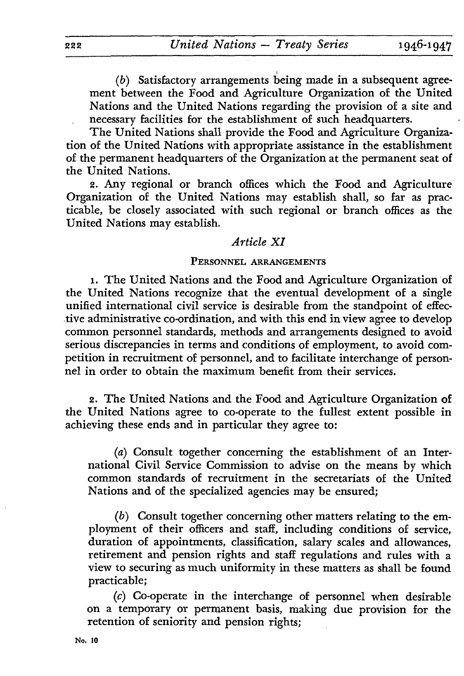(6) Satisfactory arrangements being made in a subsequent agree ment between the Food and Agriculture Organization of the United Nations and the United Nations regarding the provision of a site and necessary facilities for the establishment of such headquarters.

The United Nations shall provide the Food and Agriculture Organiza tion of the United Nations with appropriate assistance in the establishment of the permanent headquarters of the Organization at the permanent seat of the United Nations.

2. Any regional or branch offices which the Food and Agriculture Organization of the United Nations may establish shall, so far as prac ticable, be closely associated with such regional or branch offices as the United Nations may establish.

#### *Article XI*

#### PERSONNEL ARRANGEMENTS

1. The United Nations and the Food and Agriculture Organization of the United Nations recognize that the eventual development of a single unified international civil service is desirable from the standpoint of effec tive administrative co-ordination, and with this end in view agree to develop common personnel standards, methods and arrangements designed to avoid serious discrepancies in terms and conditions of employment, to avoid com petition in recruitment of personnel, and to facilitate interchange of person nel in order to obtain the maximum benefit from their services.

2. The United Nations and the Food and Agriculture Organization of the United Nations agree to co-operate to the fullest extent possible in achieving these ends and in particular they agree to:

*(a)* Consult together concerning the establishment of an Inter national Civil Service Commission to advise on the means by which common standards of recruitment in the secretariats of the United Nations and of the specialized agencies may be ensured;

(6) Consult together concerning other matters relating to the em ployment of their officers and staff, including conditions of service, duration of appointments, classification, salary scales and allowances, retirement and pension rights and staff regulations and rules with a view to securing as much uniformity in these matters as shall be found practicable;

*(c)* Co-operate in the interchange of personnel when desirable on a temporary or permanent basis, making due provision for the retention of seniority and pension rights;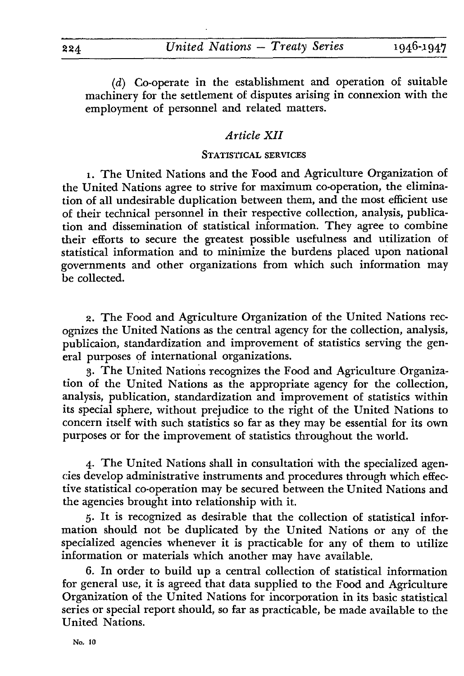*(d)* Co-operate in the establishment and operation of suitable machinery for the settlement of disputes arising in connexion with the employment of personnel and related matters.

### *Article XII*

#### STATISTICAL SERVICES

i. The United Nations and the Food and Agriculture Organization of the United Nations agree to strive for maximum co-operation, the elimina tion of all undesirable duplication between them, and the most efficient use of their technical personnel in their respective collection, analysis, publica tion and dissemination of statistical information. They agree to combine their efforts to secure the greatest possible usefulness and utilization of statistical information and to minimize the burdens placed upon national governments and other organizations from which such information may be collected.

a. The Food and Agriculture Organization of the United Nations rec ognizes the United Nations as the central agency for the collection, analysis, publicaion, standardization and improvement of statistics serving the gen eral purposes of international organizations.

3. The United Nations recognizes the Food and Agriculture Organiza tion of the United Nations as the appropriate agency for the collection, analysis, publication, standardization and improvement of statistics within its special sphere, without prejudice to the right of the United Nations to concern itself with such statistics so far as they may be essential for its own purposes or for the improvement of statistics throughout the world.

4. The United Nations shall in consultation with the specialized agen cies develop administrative instruments and procedures through which effec tive statistical co-operation may be secured between the United Nations and the agencies brought into relationship with it.

5. It is recognized as desirable that the collection of statistical infor mation should not be duplicated by the United Nations or any of the specialized agencies whenever it is practicable for any of them to utilize information or materials which another may have available.

6. In order to build up a central collection of statistical information for general use, it is agreed that data supplied to the Food and Agriculture Organization of the United Nations for incorporation in its basic statistical series or special report should, so far as practicable, be made available to the United Nations.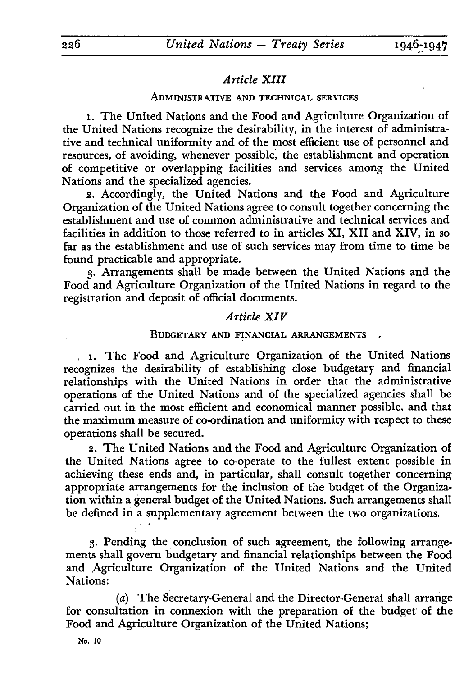## *Article XIII*

#### ADMINISTRATIVE AND TECHNICAL SERVICES

1. The United Nations and the Food and Agriculture Organization of the United Nations recognize the desirability, in the interest of administra tive and technical uniformity and of the most efficient use of personnel and resources, of avoiding, whenever possible, the establishment and operation of competitive or overlapping facilities and services among the United Nations and the specialized agencies.

2. Accordingly, the United Nations and the Food and Agriculture Organization of the United Nations agree to consult together concerning the establishment and use of common administrative and technical services and facilities in addition to those referred to in articles XI, XII and XIV, in so far as the establishment and use of such services may from time to time be found practicable and appropriate.

3. Arrangements shall be made between the United Nations and the Food and Agriculture Organization of the United Nations in regard to the registration and deposit of official documents.

## *Article XIV*

#### BUDGETARY AND FINANCIAL ARRANGEMENTS

, i. The Food and Agriculture Organization of the United Nations recognizes the desirability of establishing close budgetary and financial relationships with the United Nations in order that the administrative operations of the United Nations and of the specialized agencies shall be carried out in the most efficient and economical manner possible, and that the maximum measure of co-ordination and uniformity with respect to these operations shall be secured.

2. The United Nations and the Food and Agriculture Organization of the United Nations agree to co-operate to the fullest extent possible in achieving these ends and, in particular, shall consult together concerning appropriate arrangements for the inclusion of the budget of the Organiza tion within a general budget of the United Nations. Such arrangements shall be defined in a supplementary agreement between the two organizations.

3. Pending the conclusion of such agreement, the following arrange ments shall govern budgetary and financial relationships between the Food and Agriculture Organization of the United Nations and the United Nations:

(a) The Secretary-General and the Director-General shall arrange for consultation in connexion with the preparation of the budget of the Food and Agriculture Organization of the United Nations;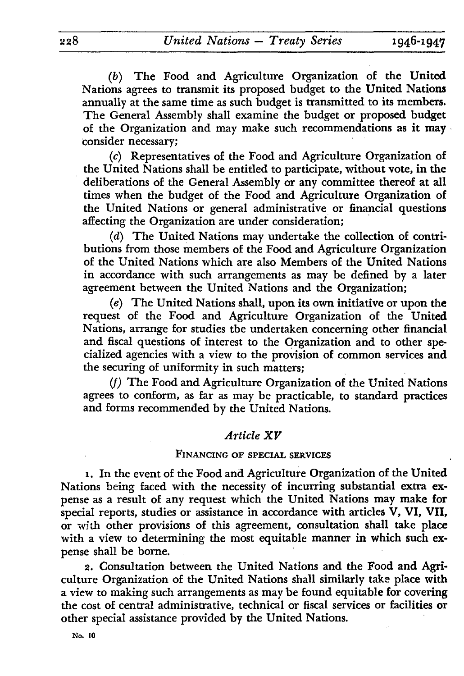(b) The Food and Agriculture Organization of the United Nations agrees to transmit its proposed budget to the United Nations annually at the same time as such budget is transmitted to its members. The General Assembly shall examine the budget or proposed budget of the Organization and may make such recommendations as it may consider necessary;

*(c)* Representatives of the Food and Agriculture Organization of the United Nations shall be entitled to participate, without vote, in the deliberations of the General Assembly or any committee thereof at all times when the budget of the Food and Agriculture Organization of the United Nations or general administrative or financial questions affecting the Organization are under consideration;

*(d)* The United Nations may undertake the collection of contri butions from those members of the Food and Agriculture Organization of the United Nations which are also Members of the United Nations in accordance with such arrangements as may be defined by a later agreement between the United Nations and the Organization;

*(e)* The United Nations shall, upon its own initiative or upon the request of the Food and Agriculture Organization of the United Nations, arrange for studies tbe undertaken concerning other financial and fiscal questions of interest to the Organization and to other spe cialized agencies with a view to the provision of common services and the securing of uniformity in such matters;

*(f)* The Food and Agriculture Organization of the United Nations agrees to conform, as far as may be practicable, to standard practices and forms recommended by the United Nations.

#### *Article XV*

### FINANCING OF SPECIAL SERVICES

1. In the event of the Food and Agriculture Organization of the United Nations being faced with the necessity of incurring substantial extra ex pense as a result of any request which the United Nations may make for special reports, studies or assistance in accordance with articles V, VI, VII, or with other provisions of this agreement, consultation shall take place with a view to determining the most equitable manner in which such expense shall be borne.

2. Consultation between the United Nations and the Food and Agri culture Organization of the United Nations shall similarly take place with a view to making such arrangements as may be found equitable for covering the cost of central administrative, technical or fiscal services or facilities or other special assistance provided by the United Nations.